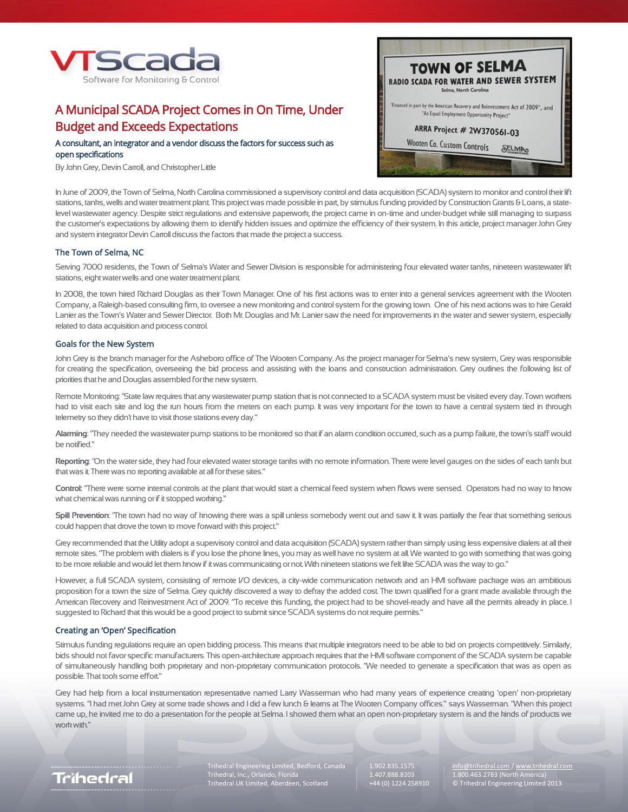

# A Municipal SCADA Project Comes in On Time, Under Budget and Exceeds Expectations

# A consultant, an integrator and a vendor discuss the factors for success such as open specifications

By John Grey, Devin Carroll, and Christopher Little



In June of 2009, the Town of Selma, North Carolina commissioned a supervisory control and data acquisition (SCADA) system to monitor and control their lift stations, tanks, wells and water treatment plant. This project was made possible in part, by stimulus funding provided by Construction Grants & Loans, a statelevel wastewater agency. Despite strict regulations and extensive paperwork, the project came in on-time and under-budget while still managing to surpass the customer's expectations by allowing them to identify hidden issues and optimize the efficiency of their system. In this article, project manager John Grey and system integrator Devin Carroll discuss the factors that made the project a success.

# The Town of Selma, NC

Serving 7000 residents, the Town of Selma's Water and Sewer Division is responsible for administering four elevated water tanks, nineteen wastewater lift stations, eight water wells and one water treatment plant.

In 2008, the town hired Richard Douglas as their Town Manager. One of his first actions was to enter into a general services agreement with the Wooten Company, a Raleigh-based consulting firm, to oversee a new monitoring and control system for the growing town. One of his next actions was to hire Gerald Lanier as the Town's Water and Sewer Director. Both Mr. Douglas and Mr. Lanier saw the need for improvements in the water and sewer system, especially related to data acquisition and process control.

### Goals for the New System

John Grey is the branch manager for the Asheboro office of The Wooten Company. As the project manager for Selma's new system, Grey was responsible for creating the specification, overseeing the bid process and assisting with the loans and construction administration. Grey outlines the following list of priorities that he and Douglas assembled for the new system.

Remote Monitoring: "State law requires that any wastewater pump station that is not connected to a SCADA system must be visited every day. Town workers had to visit each site and log the run hours from the meters on each pump. It was very important for the town to have a central system tied in through telemetry so they didn't have to visit those stations every day."

**Alarming**: "They needed the wastewater pump stations to be monitored so that if an alarm condition occurred, such as a pump failure, the town's staff would be notified."

**Reporting**: "On the water side, they had four elevated water storage tanks with no remote information. There were level gauges on the sides of each tank but that was it. There was no reporting available at all for these sites."

**Control:** "There were some internal controls at the plant that would start a chemical feed system when flows were sensed. Operators had no way to know what chemical was running or if it stopped working."

**Spill Prevention**: "The town had no way of knowing there was a spill unless somebody went out and saw it. It was partially the fear that something serious could happen that drove the town to move forward with this project."

Grey recommended that the Utility adopt a supervisory control and data acquisition (SCADA) system rather than simply using less expensive dialers at all their remote sites. "The problem with dialers is if you lose the phone lines, you may as well have no system at all. We wanted to go with something that was going to be more reliable and would let them know if it was communicating or not. With nineteen stations we felt like SCADA was the way to go."

However, a full SCADA system, consisting of remote I/O devices, a city-wide communication network and an HMI software package was an ambitious proposition for a town the size of Selma. Grey quickly discovered a way to defray the added cost. The town qualified for a grant made available through the American Recovery and Reinvestment Act of 2009. "To receive this funding, the project had to be shovel-ready and have all the permits already in place. I suggested to Richard that this would be a good project to submit since SCADA systems do not require permits."

### Creating an 'Open' Specification

Stimulus funding regulations require an open bidding process. This means that multiple integrators need to be able to bid on projects competitively. Similarly, bids should not favor specific manufacturers. This open-architecture approach requires that the HMI software component of the SCADA system be capable of simultaneously handling both proprietary and non-proprietary communication protocols. "We needed to generate a specification that was as open as possible. That took some effort."

Grey had help from a local instrumentation representative named Larry Wasserman who had many years of experience creating 'open' non-proprietary systems. "I had met John Grey at some trade shows and I did a few lunch & learns at The Wooten Company offices." says Wasserman. "When this project came up, he invited me to do a presentation for the people at Selma. I showed them what an open non-proprietary system is and the kinds of products we work with."



Trihedral Engineering Limited, Bedford, Canada 1.902.835.1575 [info@trihedral.com](mailto:info@trihedral.com) [/ www.trihedral.com](http://www.trihedral.com/) info@trihedral.com info@trihedral.com info@trihedral.com info@trihedral.com info@trihedral.com info@trihedral.com info@tr Trihedral, Inc., Orlando, Florida 1.407.888.8203<br>1.407.888.8203 (1.402.4258910.464) (North America)

Trikhedral UK Limited<br>
1.800.463.2783 (North America)<br>
© Trihedral Engineering Limited 2013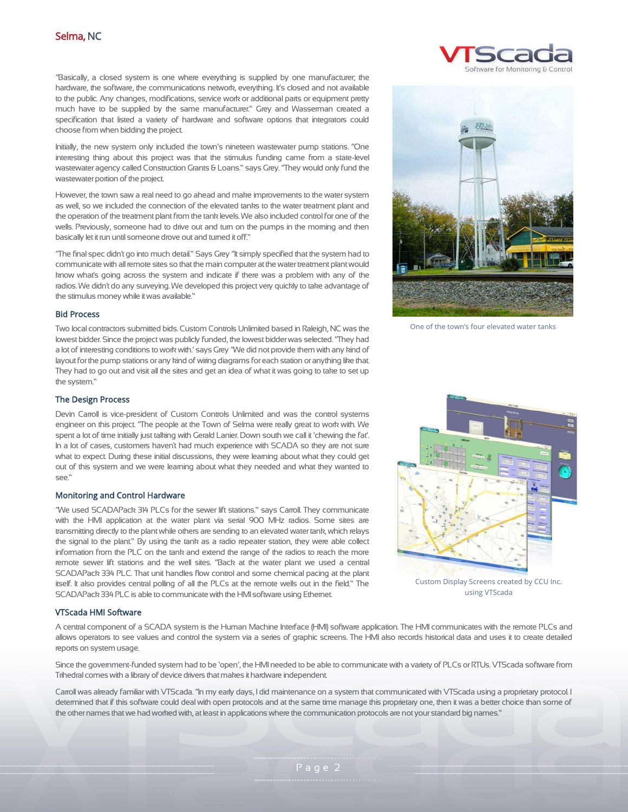"Basically, a closed system is one where everything is supplied by one manufacturer; the hardware, the software, the communications network, everything. It's closed and not available to the public. Any changes, modifications, service work or additional parts or equipment pretty much have to be supplied by the same manufacturer." Grey and Wasserman created a specification that listed a variety of hardware and software options that integrators could choose from when bidding the project.

Initially, the new system only included the town's nineteen wastewater pump stations. "One interesting thing about this project was that the stimulus funding came from a state-level wastewater agency called Construction Grants & Loans." says Grey. "They would only fund the wastewater portion of the project.

However, the town saw a real need to go ahead and make improvements to the water system as well, so we included the connection of the elevated tanks to the water treatment plant and the operation of the treatment plant from the tank levels. We also included control for one of the wells. Previously, someone had to drive out and turn on the pumps in the morning and then basically let it run until someone drove out and turned it off."

"The final spec didn't go into much detail." Says Grey "It simply specified that the system had to communicate with all remote sites so that the main computer at the water treatment plant would know what's going across the system and indicate if there was a problem with any of the radios. We didn't do any surveying. We developed this project very quickly to take advantage of the stimulus money while it was available."

### Bid Process

Two local contractors submitted bids. Custom Controls Unlimited based in Raleigh, NC was the lowest bidder. Since the project was publicly funded, the lowest bidder was selected. "They had a lot of interesting conditions to work with.' says Grey "We did not provide them with any kind of layout for the pump stations or any kind of wiring diagrams for each station or anything like that. They had to go out and visit all the sites and get an idea of what it was going to take to set up the system."





One of the town's four elevated water tanks

# The Design Process

Devin Carroll is vice-president of Custom Controls Unlimited and was the control systems engineer on this project. "The people at the Town of Selma were really great to work with. We spent a lot of time initially just talking with Gerald Lanier. Down south we call it 'chewing the fat'. In a lot of cases, customers haven't had much experience with SCADA so they are not sure what to expect. During these initial discussions, they were learning about what they could get out of this system and we were learning about what they needed and what they wanted to see."

## Monitoring and Control Hardware

"We used SCADAPack 314 PLCs for the sewer lift stations." says Carroll. They communicate with the HMI application at the water plant via serial 900 MHz radios. Some sites are transmitting directly to the plant while others are sending to an elevated water tank, which relays the signal to the plant." By using the tank as a radio repeater station, they were able collect information from the PLC on the tank and extend the range of the radios to reach the more remote sewer lift stations and the well sites. "Back at the water plant we used a central SCADAPack 334 PLC. That unit handles flow control and some chemical pacing at the plant itself. It also provides central polling of all the PLCs at the remote wells out in the field." The SCADAPack 334 PLC is able to communicate with the HMI software using Ethernet.

# VTScada HMI Software

A central component of a SCADA system is the Human Machine Interface (HMI) software application. The HMI communicates with the remote PLCs and allows operators to see values and control the system via a series of graphic screens. The HMI also records historical data and uses it to create detailed reports on system usage.

Since the government-funded system had to be 'open', the HMI needed to be able to communicate with a variety of PLCs or RTUs. VTScada software from Trihedral comes with a library of device drivers that makes it hardware independent.

Carroll was already familiar with VTScada. "In my early days, I did maintenance on a system that communicated with VTScada using a proprietary protocol. I determined that if this software could deal with open protocols and at the same time manage this proprietary one, then it was a better choice than some of the other names that we had worked with, at least in applications where the communication protocols are not your standard big names."



using VTScada